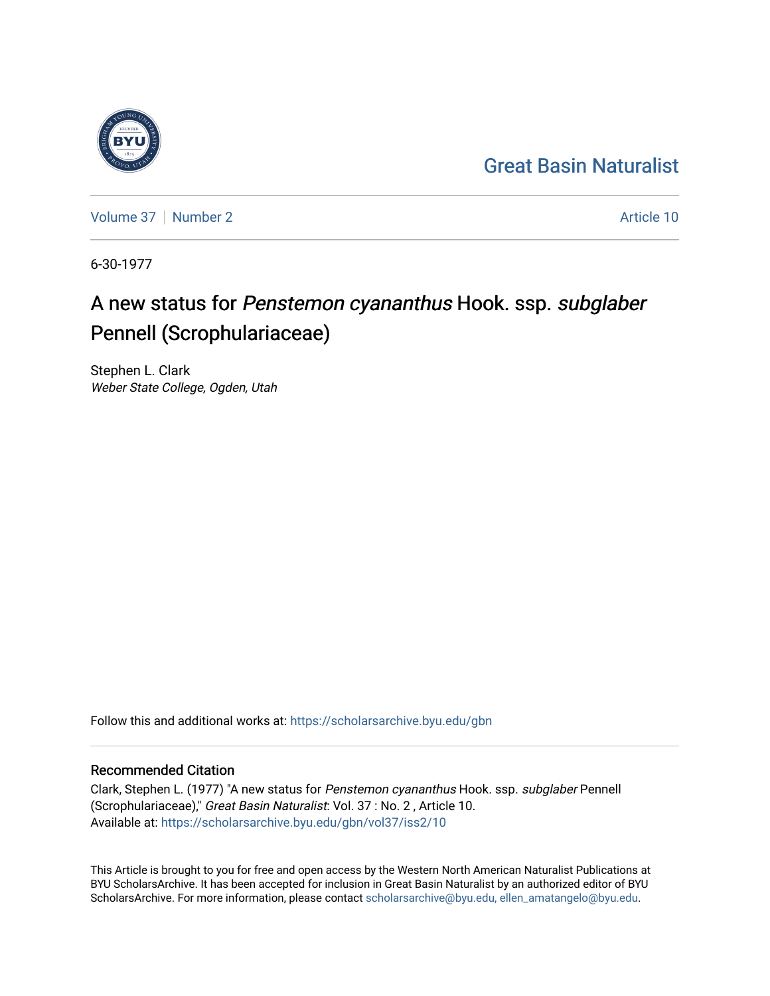## [Great Basin Naturalist](https://scholarsarchive.byu.edu/gbn)



[Volume 37](https://scholarsarchive.byu.edu/gbn/vol37) | [Number 2](https://scholarsarchive.byu.edu/gbn/vol37/iss2) Article 10

6-30-1977

# A new status for Penstemon cyananthus Hook. ssp. subglaber Pennell (Scrophulariaceae)

Stephen L. Clark Weber State College, Ogden, Utah

Follow this and additional works at: [https://scholarsarchive.byu.edu/gbn](https://scholarsarchive.byu.edu/gbn?utm_source=scholarsarchive.byu.edu%2Fgbn%2Fvol37%2Fiss2%2F10&utm_medium=PDF&utm_campaign=PDFCoverPages) 

### Recommended Citation

Clark, Stephen L. (1977) "A new status for Penstemon cyananthus Hook. ssp. subglaber Pennell (Scrophulariaceae)," Great Basin Naturalist: Vol. 37 : No. 2 , Article 10. Available at: [https://scholarsarchive.byu.edu/gbn/vol37/iss2/10](https://scholarsarchive.byu.edu/gbn/vol37/iss2/10?utm_source=scholarsarchive.byu.edu%2Fgbn%2Fvol37%2Fiss2%2F10&utm_medium=PDF&utm_campaign=PDFCoverPages) 

This Article is brought to you for free and open access by the Western North American Naturalist Publications at BYU ScholarsArchive. It has been accepted for inclusion in Great Basin Naturalist by an authorized editor of BYU ScholarsArchive. For more information, please contact [scholarsarchive@byu.edu, ellen\\_amatangelo@byu.edu.](mailto:scholarsarchive@byu.edu,%20ellen_amatangelo@byu.edu)